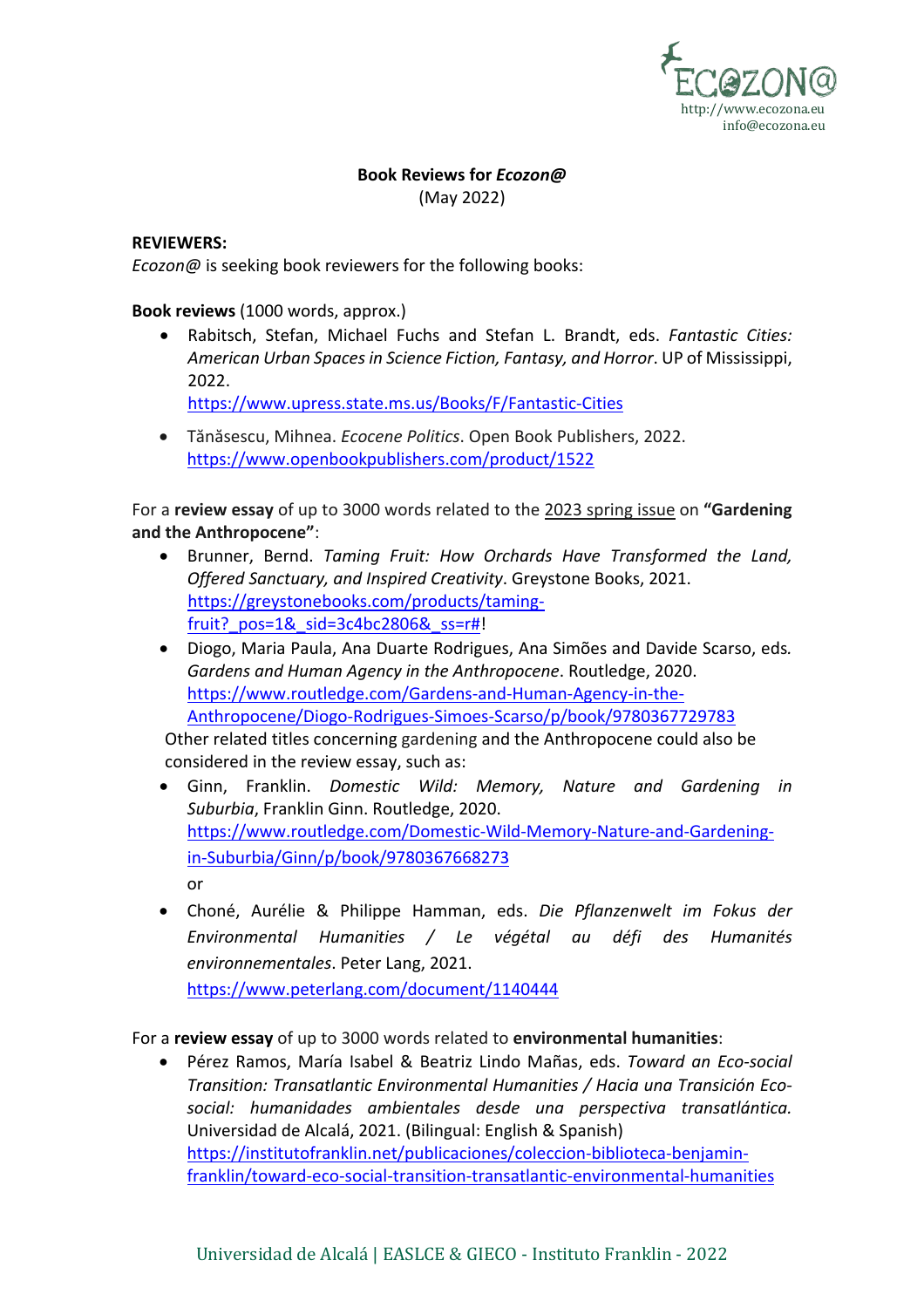

## **Book Reviews for** *Ecozon@*

(May 2022)

## **REVIEWERS:**

*Ecozon@* is seeking book reviewers for the following books:

## **Book reviews** (1000 words, approx.)

• Rabitsch, Stefan, Michael Fuchs and Stefan L. Brandt, eds. *Fantastic Cities: American Urban Spaces in Science Fiction, Fantasy, and Horror*. UP of Mississippi, 2022.

https://www.upress.state.ms.us/Books/F/Fantastic-Cities

• Tănăsescu, Mihnea. *Ecocene Politics*. Open Book Publishers, 2022. https://www.openbookpublishers.com/product/1522

For a **review essay** of up to 3000 words related to the 2023 spring issue on **"Gardening and the Anthropocene"**:

- Brunner, Bernd. *Taming Fruit: How Orchards Have Transformed the Land, Offered Sanctuary, and Inspired Creativity*. Greystone Books, 2021. https://greystonebooks.com/products/tamingfruit? pos=1&\_sid=3c4bc2806&\_ss=r#!
- Diogo, Maria Paula, Ana Duarte Rodrigues, Ana Simões and Davide Scarso, eds*. Gardens and Human Agency in the Anthropocene*. Routledge, 2020. https://www.routledge.com/Gardens-and-Human-Agency-in-the-Anthropocene/Diogo-Rodrigues-Simoes-Scarso/p/book/9780367729783

Other related titles concerning gardening and the Anthropocene could also be considered in the review essay, such as:

- Ginn, Franklin. *Domestic Wild: Memory, Nature and Gardening in Suburbia*, Franklin Ginn. Routledge, 2020. https://www.routledge.com/Domestic-Wild-Memory-Nature-and-Gardeningin-Suburbia/Ginn/p/book/9780367668273 or
- Choné, Aurélie & Philippe Hamman, eds. *Die Pflanzenwelt im Fokus der Environmental Humanities / Le végétal au défi des Humanités environnementales*. Peter Lang, 2021.

https://www.peterlang.com/document/1140444

For a **review essay** of up to 3000 words related to **environmental humanities**:

• Pérez Ramos, María Isabel & Beatriz Lindo Mañas, eds. *Toward an Eco-social Transition: Transatlantic Environmental Humanities / Hacia una Transición Ecosocial: humanidades ambientales desde una perspectiva transatlántica.*  Universidad de Alcalá, 2021. (Bilingual: English & Spanish) https://institutofranklin.net/publicaciones/coleccion-biblioteca-benjaminfranklin/toward-eco-social-transition-transatlantic-environmental-humanities